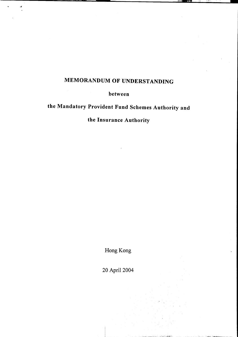# MEMORANDUM OF UNDERSTANDING

between

# the Mandatory Provident Fund Schemes Authority and

## the Insurance Authority

Hong Kong

20 April 2004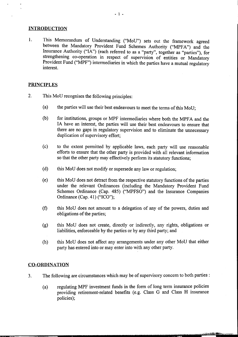#### INTRODUCTION

1. This Memorandum of Understanding ("MoU") sets out the framework agreed between the Mandatory Provident Fund Schemes Authority ("MPFA") and the Insurance Authority ("lA") (each referred to as a "party", together as "parties"), for strengthening co-operation in respect of supervision of entities or Mandatory Provident Fund ("MPF") intermediaries in which the parties have a mutual regulatory interest.

#### **PRINCIPLES**

- 2. This MoU recognises the following principles:
	- (a) the parties will use their best endeavours to meet the terms of this MoU;
	- (b) for institutions, groups or MPF intermediaries where both the MPFA and the IA have an interest, the parties will use their best endeavours to ensure that there are no gaps in regulatory supervision and to eliminate the unnecessary duplication of supervisory effort;
	- (c) to the extent permitted by applicable laws, each party will use reasonable efforts to ensure that the other party is provided with all relevant information so that the other party may effectively perform its statutory functions;
	- (d) this MoU does not modify or supersede any law or regulation;
	- (e) this MoU does not detract from the respective statutory functions of the parties under the relevant Ordinances (including the Mandatory Provident Fund Schemes Ordinance (Cap. 485) ("MPFSO") and the Insurance Companies Ordinance (Cap. 41) ("ICO");
	- (f) this MoU does not amount to a delegation of any of the powers, duties and obligations of the parties;
	- (g) this MoU does not create, directly or indirectly, any rights, obligations or liabilities, enforceable by the parties or by any third party; and
	- (h) this MoU does not affect any arrangements under any other MoU that either party has entered into or may enter into with any other party.

#### CO-ORDINATION

\_\_~ili'C , """""C

- 3. The following are circumstances which may be of supervisory concern to both parties:
	- (a) regulating MPF investment funds in the form of long term insurance policies providing retirement-related benefits (e.g. Class G and Class H msurance policies);

,  $\frac{1}{2}$ ,  $\frac{1}{2}$ ,  $\frac{1}{2}$ ,  $\frac{1}{2}$ ,  $\frac{1}{2}$ ,  $\frac{1}{2}$ ,  $\frac{1}{2}$ ,  $\frac{1}{2}$ ,  $\frac{1}{2}$ ,  $\frac{1}{2}$ ,  $\frac{1}{2}$ ,  $\frac{1}{2}$ ,  $\frac{1}{2}$ ,  $\frac{1}{2}$ ,  $\frac{1}{2}$ ,  $\frac{1}{2}$ ,  $\frac{1}{2}$ ,  $\frac{1}{2}$ ,  $\frac{1}{2}$ ,  $\frac{1}{2}$ ,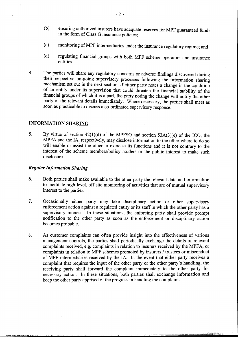- (b) ensuring authorized insurers have adequate reserves for MPF guaranteed funds in the form of Class G insurance policies;
- (c) monitoring of MPF intermediaries under the insurance regulatory regime; and
- (d) regulating financial groups with both MPF scheme operators and insurance entities.
- 4. The parties will share any regulatory concerns or adverse findings discovered during their respective on-going supervisory processes following the information sharing mechanism set out in the next section. If either party notes a change in the condition of an entity under its supervision that could threaten the financial stability of the financial groups of which it is a part, the party noting the change will notify the other party of the relevant details immediately. Where necessary, the parties shall meet as soon as practicable to discuss a co-ordinated supervisory response.

#### INFORMATION SHARING

5. By virtue of section 42(1)(d) of the MPFSO and section 53A(3)(e) of the ICO, the MPFA and the lA, respectively, may disclose information to the other where to do so will enable or assist the other to exercise its functions and it is not contrary to the interest of the scheme members/policy holders or the public interest to make such disclosure.

#### **Regular Information Sharing**

- 6. Both parties shall make available to the other party the relevant data and information to facilitate high-level, off-site monitoring of activities that are of mutual supervisory interest to the parties.
- 7. Occasionally either party may take disciplinary action or other supervisory enforcement action against a regulated entity or its staff in which the other party has a supervisory interest. In these situations, the enforcing party shall provide prompt notification to the other party as soon as the enforcement or disciplinary action becomes probable.
- 8. As customer complaints can often provide insight into the effectiveness of various management controls, the parties shall periodically exchange the details of relevant complaints received, e.g. complaints in relation to insurers received by the MPFA, or complaints in relation to MPF schemes promoted by insurers / trustees or misconduct of MPF intermediaries received by the IA. In the event that either party receives a complaint that requires the input of the other party or the other party's handling, the receiving party shall forward the complaint immediately to the other party for necessary action. In these situations, both parties shall exchange information and keep the other party apprised of the progress in handling the complaint.

~, -~-~-~ C c---, ~\_e~ ,~ '7~-~,~,':;;'.~"[:~f,'cfc'" ,~ ""..".",'"",.,."..~...r.- .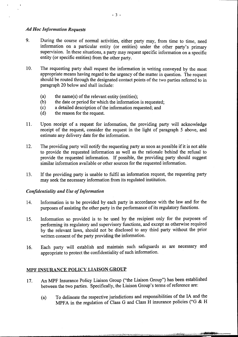#### Ad Hoc Information Requests

.

- 9. During the course of normal activities, either party may, from time to time, need information on a particular entity (or entities) under the other party's primary supervision. In these situations, a party may request specific information on a specific entity (or specific entities) from the other party.
- 10. The requesting party shall request the information in writing conveyed by the most appropriate means having regard to the urgency of the matter in question. The request should be routed through the designated contact points of the two parties referred to in paragraph 20 below and shall include:
	- (a) the name(s) of the relevant entity (entities);
	- (b) the date or period for which the information is requested;
	- (c) a detailed description of the information requested; and
	- (d) the reason for the request.
- 11. Upon receipt of a request for information, the providing party will acknowledge receipt of the request, consider the request in the light of paragraph 5 above, and estimate any delivery date for the information.
- 12. The providing party will notify the requesting party as soon as possible if it is not able to provide the requested information as well as the rationale behind the refusal to provide the requested information. If possible, the providing party should suggest similar information available or other sources for the requested information.
- 13. If the providing party is unable to fulfil an information request, the requesting party may seek the necessary information from its regulated institution.

#### Confidentiality and Use of Information

- 14. Information is to be provided by each party in accordance with the law and for the purposes of assisting the other party in the performance of its regulatory functions.
- 15. Information so provided is to be used by the recipient only for the purposes of performing its regulatory and supervisory functions, and except as otherwise required by the relevant laws, should not be disclosed to any third party without the prior written consent of the party providing the information.
- 16. Each party will establish and maintain such safeguards as are necessary and appropriate to protect the confidentiality of such information.

#### MPF INSURANCE POLICY LIAISON GROUP

- 17. An MPF Insurance Policy Liaison Group ("the Liaison Group") has been established between the two parties. Specifically, the Liaison Group's terms of reference are:
	- (a) To delineate the respective jurisdictions and responsibilities of the IA and the MPFA in the regulation of Class G and Class  $\hat{H}$  insurance policies ("G & H

c.-~" ~~~~~",'~;;::":""'!';;':'...",. -"-~~\_"":;';+'~¥f"" .\_,.-",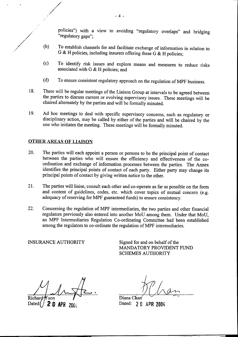policies") with a view to avoiding "regulatory overlaps" and bridging "regulatory gaps";

- (b) To establish channels for and facilitate exchange of information in relation to G & H policies, including insurers offering these G & H policies;
- (c) To identify risk issues and explore means and measures to reduce risks associated with  $G \& H$  policies; and
- (d) To ensure consistent regulatory approach on the regulation of MPF business.
- 18. There will be regular meetings of the Liaison Group at intervals to be agreed between the parties to discuss current or evolving supervisory issues. These meetings will be chaired alternately by the parties and will be formally minuted.
- 19. Ad hoc meetings to deal with specific supervisory concerns, such as regulatory or disciplinary action, may be called by either of the parties and will be chaired by the one who initiates the meeting. These meetings will be formally minuted.

### OTHER AREAS OF LIAISON

.:/ ..

- 20. The parties will each appoint a person or persons to be the principal point of contact between the parties who will ensure the efficiency and effectiveness of the coordination and exchange of information processes between the parties. The Annex identifies the principal points of contact of each party. Either party may change its principal points of contact by giving written notice to the other.
- 21. The parties will liaise, consult each other and co-operate as far as possible on the form and content of guidelines, codes, etc. which cover topics of mutual concern (e.g. adequacy of reserving for MPF guaranteed funds) to ensure consistency.
- 22. Concerning the regulation of MPF intermediaries, the two parties and other financial regulators previously also entered into another MoU among them. Under that MoU, an MPF Intermediaries Regulation Co-ordinating Committee had been established among the regulators to co-ordinate the regulation of MPF intermediaries.

INSURANCE AUTHORITY Signed for and on behalf of the MANDATORY PROVIDENT FUND SCHEMES AUTHORITY

 $R = 1$ 

Da 2 0 APR 2004 Dated: 2 0 APR 2004

, where  $\mathcal{A}$   $\mathcal{A}$   $\mathcal{A}$ 

""",~".lli"""~'" "